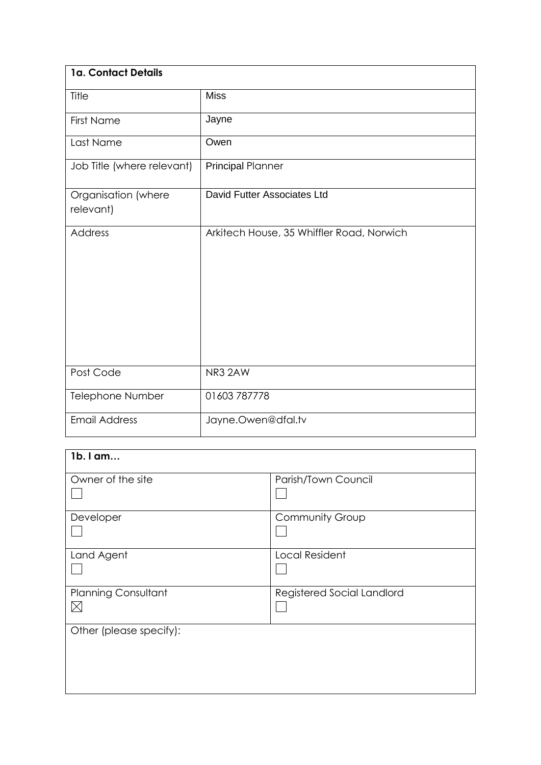| 1a. Contact Details              |                                           |
|----------------------------------|-------------------------------------------|
| Title                            | <b>Miss</b>                               |
| <b>First Name</b>                | Jayne                                     |
| Last Name                        | Owen                                      |
| Job Title (where relevant)       | <b>Principal Planner</b>                  |
| Organisation (where<br>relevant) | David Futter Associates Ltd               |
| Address                          | Arkitech House, 35 Whiffler Road, Norwich |
| Post Code                        | NR3 2AW                                   |
| Telephone Number                 | 01603 787778                              |
| <b>Email Address</b>             | Jayne.Owen@dfal.tv                        |

| 1b. I am                                  |                            |
|-------------------------------------------|----------------------------|
| Owner of the site                         | Parish/Town Council        |
| Developer                                 | Community Group            |
| Land Agent                                | <b>Local Resident</b>      |
| <b>Planning Consultant</b><br>$\boxtimes$ | Registered Social Landlord |
| Other (please specify):                   |                            |
|                                           |                            |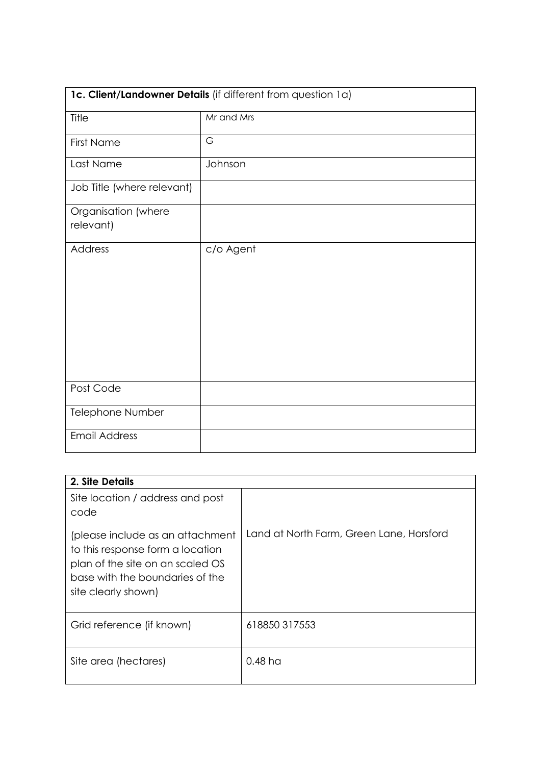| 1c. Client/Landowner Details (if different from question 1a) |            |  |
|--------------------------------------------------------------|------------|--|
| Title                                                        | Mr and Mrs |  |
| <b>First Name</b>                                            | G          |  |
| Last Name                                                    | Johnson    |  |
| Job Title (where relevant)                                   |            |  |
| Organisation (where<br>relevant)                             |            |  |
| <b>Address</b>                                               | c/o Agent  |  |
| Post Code                                                    |            |  |
| Telephone Number                                             |            |  |
| <b>Email Address</b>                                         |            |  |

| 2. Site Details                                                                                                                                                    |                                          |
|--------------------------------------------------------------------------------------------------------------------------------------------------------------------|------------------------------------------|
| Site location / address and post<br>code                                                                                                                           |                                          |
| (please include as an attachment<br>to this response form a location<br>plan of the site on an scaled OS<br>base with the boundaries of the<br>site clearly shown) | Land at North Farm, Green Lane, Horsford |
| Grid reference (if known)                                                                                                                                          | 618850317553                             |
| Site area (hectares)                                                                                                                                               | $0.48 \,\mathrm{h}$                      |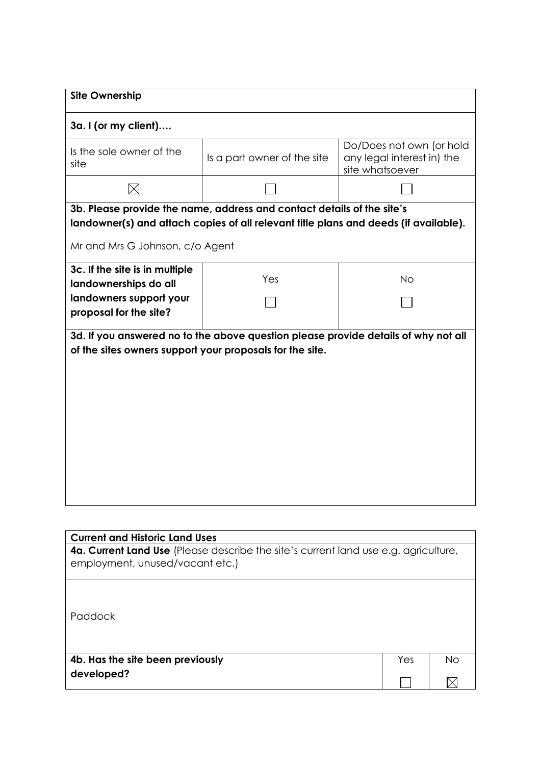| <b>Site Ownership</b>                                                                                                                                                                             |                                                                                    |                                                                           |  |  |  |  |
|---------------------------------------------------------------------------------------------------------------------------------------------------------------------------------------------------|------------------------------------------------------------------------------------|---------------------------------------------------------------------------|--|--|--|--|
| 3a. I (or my client)                                                                                                                                                                              |                                                                                    |                                                                           |  |  |  |  |
| Is the sole owner of the<br>site                                                                                                                                                                  | Is a part owner of the site                                                        | Do/Does not own (or hold<br>any legal interest in) the<br>site whatsoever |  |  |  |  |
| $\boxtimes$                                                                                                                                                                                       |                                                                                    |                                                                           |  |  |  |  |
| 3b. Please provide the name, address and contact details of the site's<br>landowner(s) and attach copies of all relevant title plans and deeds (if available).<br>Mr and Mrs G Johnson, c/o Agent |                                                                                    |                                                                           |  |  |  |  |
| 3c. If the site is in multiple<br>landownerships do all                                                                                                                                           | Yes                                                                                | <b>No</b>                                                                 |  |  |  |  |
| landowners support your<br>proposal for the site?                                                                                                                                                 |                                                                                    |                                                                           |  |  |  |  |
| of the sites owners support your proposals for the site.                                                                                                                                          | 3d. If you answered no to the above question please provide details of why not all |                                                                           |  |  |  |  |

| <b>Current and Historic Land Uses</b>                                                                                         |     |    |  |
|-------------------------------------------------------------------------------------------------------------------------------|-----|----|--|
| <b>4a. Current Land Use</b> (Please describe the site's current land use e.g. agriculture,<br>employment, unused/vacant etc.) |     |    |  |
| Paddock                                                                                                                       |     |    |  |
| 4b. Has the site been previously                                                                                              | Yes | No |  |
| developed?                                                                                                                    |     |    |  |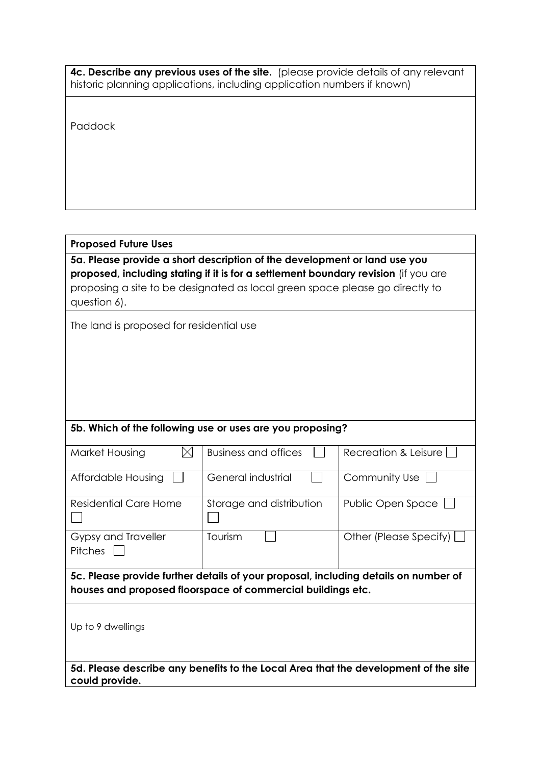| <b>4c. Describe any previous uses of the site.</b> (please provide details of any relevant |  |
|--------------------------------------------------------------------------------------------|--|
| historic planning applications, including application numbers if known)                    |  |

Paddock

## **Proposed Future Uses**

**5a. Please provide a short description of the development or land use you proposed, including stating if it is for a settlement boundary revision** (if you are proposing a site to be designated as local green space please go directly to question 6).

The land is proposed for residential use

## **5b. Which of the following use or uses are you proposing?**

| Market Housing                                                                                                                                     | Business and offices     | Recreation & Leisure I |  |  |
|----------------------------------------------------------------------------------------------------------------------------------------------------|--------------------------|------------------------|--|--|
| Affordable Housing                                                                                                                                 | General industrial       | Community Use          |  |  |
| Residential Care Home                                                                                                                              | Storage and distribution | Public Open Space      |  |  |
| Gypsy and Traveller<br><b>Pitches</b>                                                                                                              | Tourism                  | Other (Please Specify) |  |  |
| 5c. Please provide further details of your proposal, including details on number of<br>houses and proposed floorspace of commercial buildings etc. |                          |                        |  |  |
| Up to 9 dwellings                                                                                                                                  |                          |                        |  |  |

**5d. Please describe any benefits to the Local Area that the development of the site could provide.**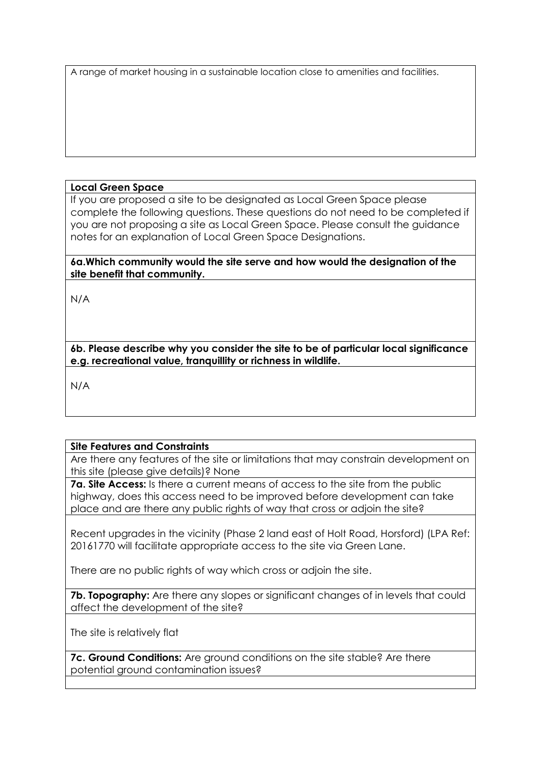A range of market housing in a sustainable location close to amenities and facilities.

#### **Local Green Space**

If you are proposed a site to be designated as Local Green Space please complete the following questions. These questions do not need to be completed if you are not proposing a site as Local Green Space. Please consult the guidance notes for an explanation of Local Green Space Designations.

**6a.Which community would the site serve and how would the designation of the site benefit that community.** 

N/A

**6b. Please describe why you consider the site to be of particular local significance e.g. recreational value, tranquillity or richness in wildlife.** 

N/A

## **Site Features and Constraints**

Are there any features of the site or limitations that may constrain development on this site (please give details)? None

**7a. Site Access:** Is there a current means of access to the site from the public highway, does this access need to be improved before development can take place and are there any public rights of way that cross or adjoin the site?

Recent upgrades in the vicinity (Phase 2 land east of Holt Road, Horsford) (LPA Ref: 20161770 will facilitate appropriate access to the site via Green Lane.

There are no public rights of way which cross or adjoin the site.

**7b. Topography:** Are there any slopes or significant changes of in levels that could affect the development of the site?

The site is relatively flat

**7c. Ground Conditions:** Are ground conditions on the site stable? Are there potential ground contamination issues?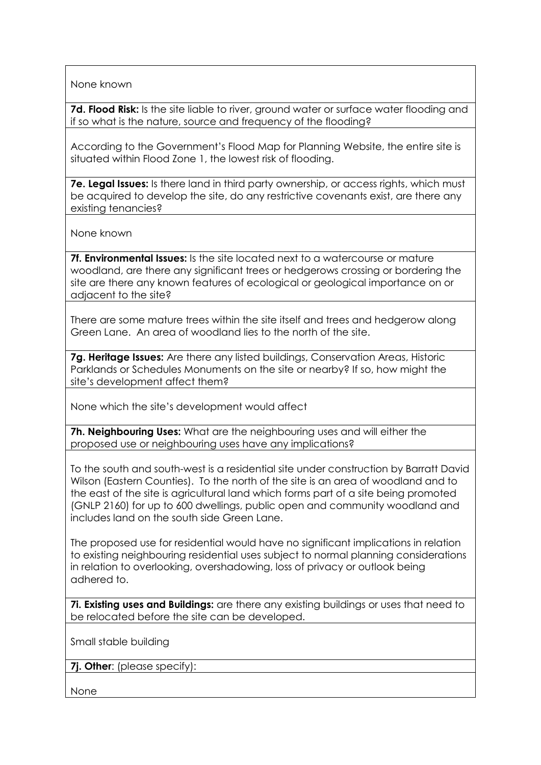None known

**7d. Flood Risk:** Is the site liable to river, ground water or surface water flooding and if so what is the nature, source and frequency of the flooding?

According to the Government's Flood Map for Planning Website, the entire site is situated within Flood Zone 1, the lowest risk of flooding.

**7e. Legal Issues:** Is there land in third party ownership, or access rights, which must be acquired to develop the site, do any restrictive covenants exist, are there any existing tenancies?

None known

**7f. Environmental Issues:** Is the site located next to a watercourse or mature woodland, are there any significant trees or hedgerows crossing or bordering the site are there any known features of ecological or geological importance on or adiacent to the site?

There are some mature trees within the site itself and trees and hedgerow along Green Lane. An area of woodland lies to the north of the site.

**7g. Heritage Issues:** Are there any listed buildings, Conservation Areas, Historic Parklands or Schedules Monuments on the site or nearby? If so, how might the site's development affect them?

None which the site's development would affect

**7h. Neighbouring Uses:** What are the neighbouring uses and will either the proposed use or neighbouring uses have any implications?

To the south and south-west is a residential site under construction by Barratt David Wilson (Eastern Counties). To the north of the site is an area of woodland and to the east of the site is agricultural land which forms part of a site being promoted (GNLP 2160) for up to 600 dwellings, public open and community woodland and includes land on the south side Green Lane.

The proposed use for residential would have no significant implications in relation to existing neighbouring residential uses subject to normal planning considerations in relation to overlooking, overshadowing, loss of privacy or outlook being adhered to.

**7i. Existing uses and Buildings:** are there any existing buildings or uses that need to be relocated before the site can be developed.

Small stable building

**7j. Other**: (please specify):

None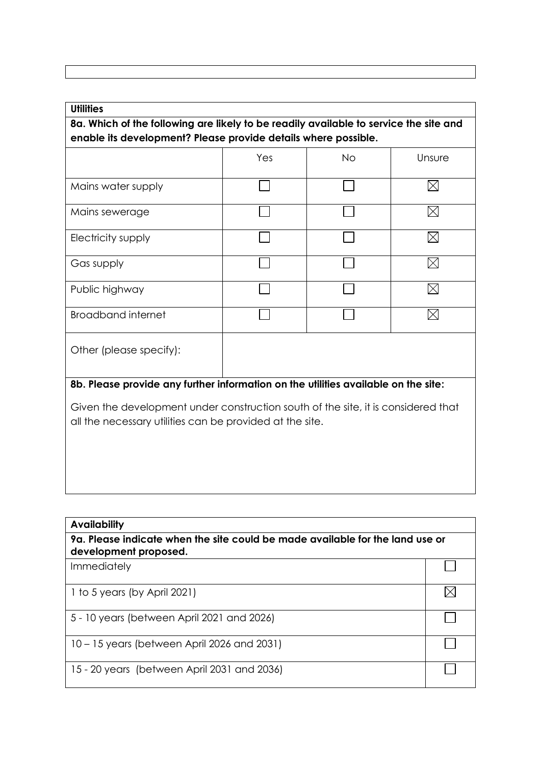## **Utilities**

# **8a. Which of the following are likely to be readily available to service the site and enable its development? Please provide details where possible.**

|                                                                                                                                               | Yes | <b>No</b> | Unsure   |  |  |  |
|-----------------------------------------------------------------------------------------------------------------------------------------------|-----|-----------|----------|--|--|--|
| Mains water supply                                                                                                                            |     |           | ⋉        |  |  |  |
| Mains sewerage                                                                                                                                |     |           | IX       |  |  |  |
| Electricity supply                                                                                                                            |     |           | $\times$ |  |  |  |
| Gas supply                                                                                                                                    |     |           |          |  |  |  |
| Public highway                                                                                                                                |     |           |          |  |  |  |
| <b>Broadband internet</b>                                                                                                                     |     |           |          |  |  |  |
| Other (please specify):                                                                                                                       |     |           |          |  |  |  |
| 8b. Please provide any further information on the utilities available on the site:                                                            |     |           |          |  |  |  |
| Given the development under construction south of the site, it is considered that<br>all the necessary utilities can be provided at the site. |     |           |          |  |  |  |

| <b>Availability</b><br>9a. Please indicate when the site could be made available for the land use or<br>development proposed. |  |  |
|-------------------------------------------------------------------------------------------------------------------------------|--|--|
|                                                                                                                               |  |  |
| 1 to 5 years (by April 2021)                                                                                                  |  |  |
| 5 - 10 years (between April 2021 and 2026)                                                                                    |  |  |
| 10 – 15 years (between April 2026 and 2031)                                                                                   |  |  |
| 15 - 20 years (between April 2031 and 2036)                                                                                   |  |  |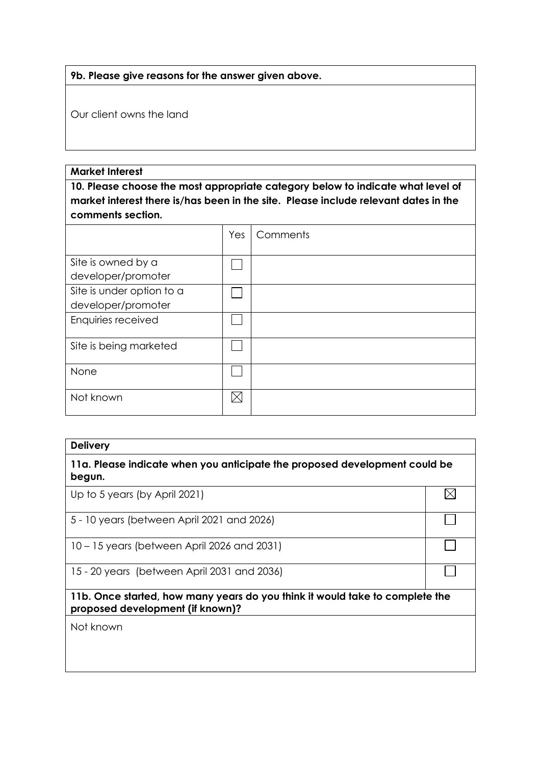#### **9b. Please give reasons for the answer given above.**

Our client owns the land

#### **Market Interest**

**10. Please choose the most appropriate category below to indicate what level of market interest there is/has been in the site. Please include relevant dates in the comments section.**

|                           | Yes | Comments |
|---------------------------|-----|----------|
|                           |     |          |
| Site is owned by a        |     |          |
| developer/promoter        |     |          |
| Site is under option to a |     |          |
| developer/promoter        |     |          |
| Enquiries received        |     |          |
| Site is being marketed    |     |          |
| None                      |     |          |
| Not known                 |     |          |

#### **Delivery**

**11a. Please indicate when you anticipate the proposed development could be begun.**

 $\boxtimes$ 

 $\Box$ 

 $\Box$ 

 $\Box$ 

Up to 5 years (by April 2021)

5 - 10 years (between April 2021 and 2026)

10 – 15 years (between April 2026 and 2031)

15 - 20 years (between April 2031 and 2036)

### **11b. Once started, how many years do you think it would take to complete the proposed development (if known)?**

Not known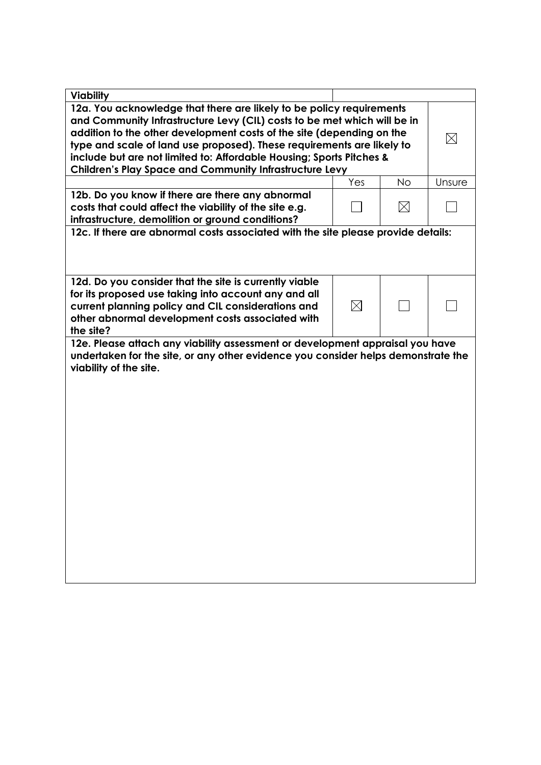| <b>Viability</b>                                                                  |             |             |             |
|-----------------------------------------------------------------------------------|-------------|-------------|-------------|
| 12a. You acknowledge that there are likely to be policy requirements              |             |             |             |
| and Community Infrastructure Levy (CIL) costs to be met which will be in          |             |             |             |
| addition to the other development costs of the site (depending on the             |             |             | $\boxtimes$ |
| type and scale of land use proposed). These requirements are likely to            |             |             |             |
| include but are not limited to: Affordable Housing; Sports Pitches &              |             |             |             |
| <b>Children's Play Space and Community Infrastructure Levy</b>                    |             |             |             |
|                                                                                   | Yes         | <b>No</b>   | Unsure      |
| 12b. Do you know if there are there any abnormal                                  |             |             |             |
| costs that could affect the viability of the site e.g.                            |             | $\boxtimes$ |             |
| infrastructure, demolition or ground conditions?                                  |             |             |             |
| 12c. If there are abnormal costs associated with the site please provide details: |             |             |             |
|                                                                                   |             |             |             |
|                                                                                   |             |             |             |
| 12d. Do you consider that the site is currently viable                            |             |             |             |
| for its proposed use taking into account any and all                              |             |             |             |
| current planning policy and CIL considerations and                                | $\boxtimes$ |             |             |
| other abnormal development costs associated with                                  |             |             |             |
| the site?                                                                         |             |             |             |
| 12e. Please attach any viability assessment or development appraisal you have     |             |             |             |
| undertaken for the site, or any other evidence you consider helps demonstrate the |             |             |             |
| viability of the site.                                                            |             |             |             |
|                                                                                   |             |             |             |
|                                                                                   |             |             |             |
|                                                                                   |             |             |             |
|                                                                                   |             |             |             |
|                                                                                   |             |             |             |
|                                                                                   |             |             |             |
|                                                                                   |             |             |             |
|                                                                                   |             |             |             |
|                                                                                   |             |             |             |
|                                                                                   |             |             |             |
|                                                                                   |             |             |             |
|                                                                                   |             |             |             |
|                                                                                   |             |             |             |
|                                                                                   |             |             |             |
|                                                                                   |             |             |             |
|                                                                                   |             |             |             |
|                                                                                   |             |             |             |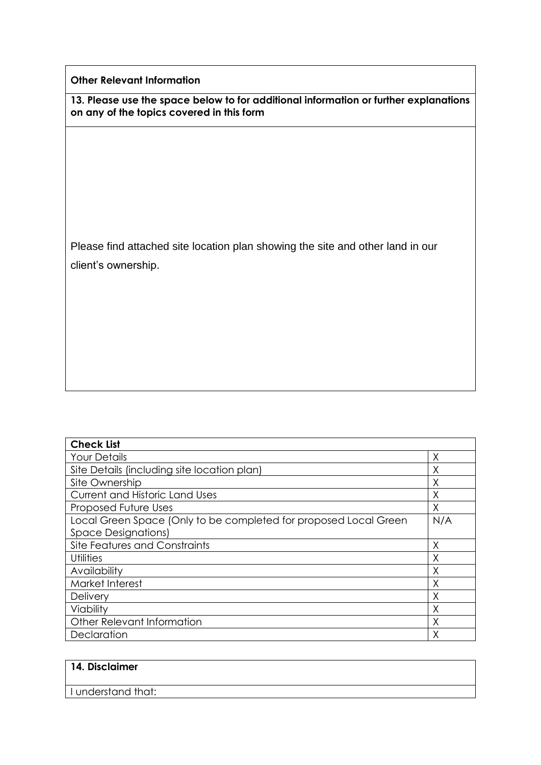**Other Relevant Information**

**13. Please use the space below to for additional information or further explanations on any of the topics covered in this form**

Please find attached site location plan showing the site and other land in our client's ownership.

| <b>Check List</b>                                                |     |
|------------------------------------------------------------------|-----|
| <b>Your Details</b>                                              | Χ   |
| Site Details (including site location plan)                      | Χ   |
| Site Ownership                                                   | Χ   |
| <b>Current and Historic Land Uses</b>                            | Χ   |
| Proposed Future Uses                                             | Χ   |
| Local Green Space (Only to be completed for proposed Local Green | N/A |
| <b>Space Designations)</b>                                       |     |
| Site Features and Constraints                                    | Χ   |
| <b>Utilities</b>                                                 | Χ   |
| Availability                                                     | Χ   |
| Market Interest                                                  | Χ   |
| Delivery                                                         | Χ   |
| Viability                                                        | Χ   |
| Other Relevant Information                                       | Χ   |
| Declaration                                                      | Χ   |

| 14. Disclaimer     |  |  |
|--------------------|--|--|
| I understand that: |  |  |